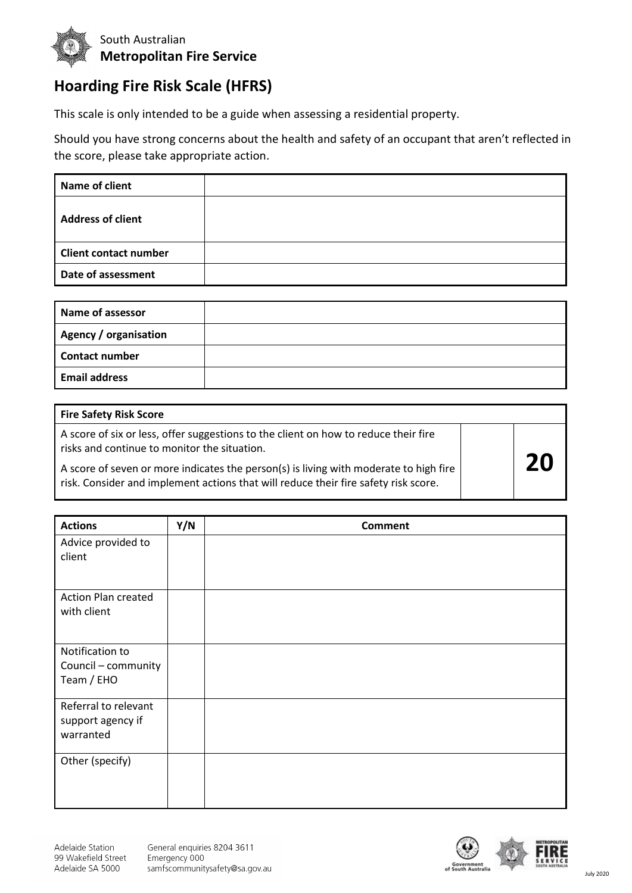

## **Hoarding Fire Risk Scale (HFRS)**

This scale is only intended to be a guide when assessing a residential property.

Should you have strong concerns about the health and safety of an occupant that aren't reflected in the score, please take appropriate action.

| Name of client               |  |
|------------------------------|--|
| <b>Address of client</b>     |  |
| <b>Client contact number</b> |  |
| Date of assessment           |  |

| <b>Name of assessor</b>      |  |
|------------------------------|--|
| <b>Agency / organisation</b> |  |
| <b>Contact number</b>        |  |
| <b>Email address</b>         |  |

| Fire Safety Risk Score                                                                                                                                                       |    |
|------------------------------------------------------------------------------------------------------------------------------------------------------------------------------|----|
| A score of six or less, offer suggestions to the client on how to reduce their fire<br>risks and continue to monitor the situation.                                          |    |
| A score of seven or more indicates the person(s) is living with moderate to high fire<br>risk. Consider and implement actions that will reduce their fire safety risk score. | 20 |

| <b>Actions</b>                                         | Y/N | <b>Comment</b> |
|--------------------------------------------------------|-----|----------------|
| Advice provided to<br>client                           |     |                |
| <b>Action Plan created</b><br>with client              |     |                |
| Notification to<br>Council - community<br>Team / EHO   |     |                |
| Referral to relevant<br>support agency if<br>warranted |     |                |
| Other (specify)                                        |     |                |

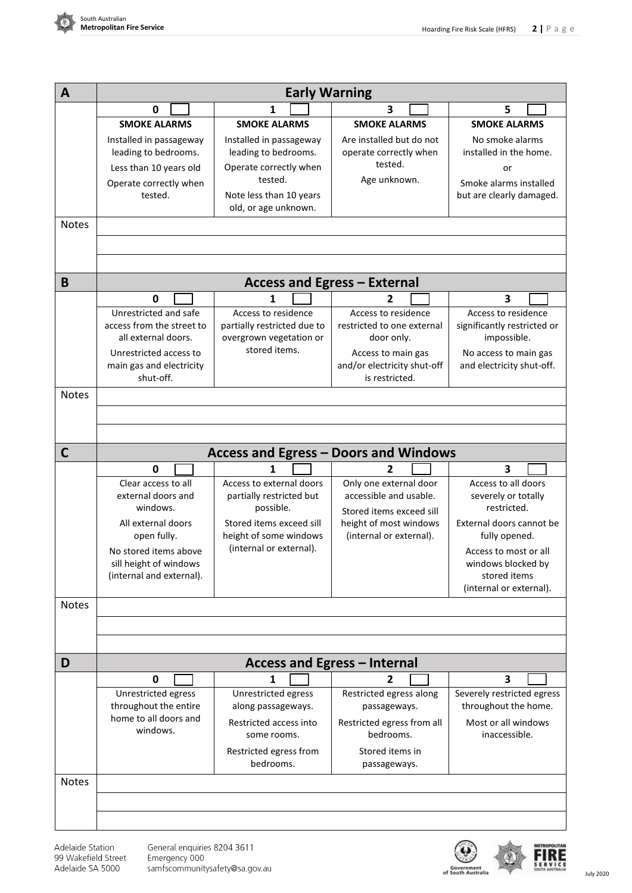

| A            | <b>Early Warning</b>                                                      |                                                                               |                                                                     |                                                                   |  |
|--------------|---------------------------------------------------------------------------|-------------------------------------------------------------------------------|---------------------------------------------------------------------|-------------------------------------------------------------------|--|
|              | 0                                                                         | 1                                                                             | 3                                                                   | 5                                                                 |  |
|              | <b>SMOKE ALARMS</b>                                                       | <b>SMOKE ALARMS</b>                                                           | <b>SMOKE ALARMS</b>                                                 | <b>SMOKE ALARMS</b>                                               |  |
|              | Installed in passageway<br>leading to bedrooms.<br>Less than 10 years old | Installed in passageway<br>leading to bedrooms.<br>Operate correctly when     | Are installed but do not<br>operate correctly when<br>tested.       | No smoke alarms<br>installed in the home.<br>or                   |  |
| <b>Notes</b> | Operate correctly when<br>tested.                                         | tested.<br>Note less than 10 years<br>old, or age unknown.                    | Age unknown.                                                        | Smoke alarms installed<br>but are clearly damaged.                |  |
|              |                                                                           |                                                                               |                                                                     |                                                                   |  |
|              |                                                                           |                                                                               |                                                                     |                                                                   |  |
| B            |                                                                           |                                                                               | <b>Access and Egress - External</b>                                 |                                                                   |  |
|              | 0                                                                         | 1                                                                             | 2                                                                   | 3                                                                 |  |
|              | Unrestricted and safe<br>access from the street to<br>all external doors. | Access to residence<br>partially restricted due to<br>overgrown vegetation or | Access to residence<br>restricted to one external<br>door only.     | Access to residence<br>significantly restricted or<br>impossible. |  |
|              | Unrestricted access to<br>main gas and electricity<br>shut-off.           | stored items.                                                                 | Access to main gas<br>and/or electricity shut-off<br>is restricted. | No access to main gas<br>and electricity shut-off.                |  |
|              |                                                                           |                                                                               |                                                                     |                                                                   |  |
| <b>Notes</b> |                                                                           |                                                                               |                                                                     |                                                                   |  |
|              |                                                                           |                                                                               |                                                                     |                                                                   |  |
| C            |                                                                           |                                                                               | <b>Access and Egress - Doors and Windows</b>                        |                                                                   |  |
|              | 0                                                                         | 1                                                                             | 2                                                                   | 3                                                                 |  |
|              | Clear access to all                                                       | Access to external doors                                                      | Only one external door                                              | Access to all doors                                               |  |
|              | external doors and<br>windows.                                            | partially restricted but<br>possible.                                         | accessible and usable.                                              | severely or totally<br>restricted.                                |  |
|              | All external doors                                                        | Stored items exceed sill                                                      | Stored items exceed sill<br>height of most windows                  | External doors cannot be                                          |  |
|              | open fully.                                                               | height of some windows                                                        | (internal or external).                                             | fully opened.                                                     |  |
|              | No stored items above                                                     | (internal or external).                                                       |                                                                     | Access to most or all                                             |  |
|              | sill height of windows                                                    |                                                                               |                                                                     | windows blocked by                                                |  |
|              | (internal and external).                                                  |                                                                               |                                                                     | stored items                                                      |  |
|              |                                                                           |                                                                               |                                                                     | (internal or external).                                           |  |
| <b>Notes</b> |                                                                           |                                                                               |                                                                     |                                                                   |  |
|              |                                                                           |                                                                               |                                                                     |                                                                   |  |
|              |                                                                           |                                                                               |                                                                     |                                                                   |  |
| D            |                                                                           | Access and Egress - Internal                                                  |                                                                     |                                                                   |  |
|              | 0                                                                         | 1                                                                             | 2                                                                   | 3                                                                 |  |
|              | Unrestricted egress<br>throughout the entire                              | Unrestricted egress<br>along passageways.                                     | Restricted egress along<br>passageways.                             | Severely restricted egress<br>throughout the home.                |  |
|              | home to all doors and<br>windows.                                         | Restricted access into<br>some rooms.                                         | Restricted egress from all<br>bedrooms.                             | Most or all windows<br>inaccessible.                              |  |
|              |                                                                           | Restricted egress from<br>bedrooms.                                           | Stored items in<br>passageways.                                     |                                                                   |  |
| <b>Notes</b> |                                                                           |                                                                               |                                                                     |                                                                   |  |
|              |                                                                           |                                                                               |                                                                     |                                                                   |  |
|              |                                                                           |                                                                               |                                                                     |                                                                   |  |

Adelaide Station 99 Wakefield Street Adelaide SA 5000

General enquiries 8204 3611<br>Emergency 000<br>samfscommunitysafety@sa.gov.au



FIRE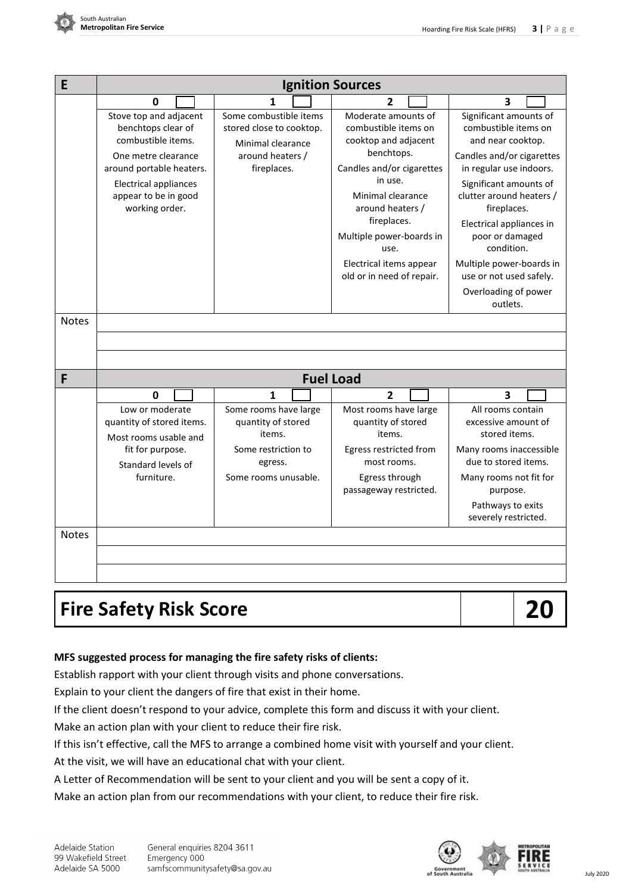

| E            | <b>Ignition Sources</b>                                                                                                                                                                         |                                                                                                            |                                                                                                                                                                                                                                                                               |                                                                                                                                                                                                                                                                                                                                                          |
|--------------|-------------------------------------------------------------------------------------------------------------------------------------------------------------------------------------------------|------------------------------------------------------------------------------------------------------------|-------------------------------------------------------------------------------------------------------------------------------------------------------------------------------------------------------------------------------------------------------------------------------|----------------------------------------------------------------------------------------------------------------------------------------------------------------------------------------------------------------------------------------------------------------------------------------------------------------------------------------------------------|
|              | 0                                                                                                                                                                                               | 1                                                                                                          | $\overline{2}$                                                                                                                                                                                                                                                                | 3                                                                                                                                                                                                                                                                                                                                                        |
|              | Stove top and adjacent<br>benchtops clear of<br>combustible items.<br>One metre clearance<br>around portable heaters.<br><b>Electrical appliances</b><br>appear to be in good<br>working order. | Some combustible items<br>stored close to cooktop.<br>Minimal clearance<br>around heaters /<br>fireplaces. | Moderate amounts of<br>combustible items on<br>cooktop and adjacent<br>benchtops.<br>Candles and/or cigarettes<br>in use.<br>Minimal clearance<br>around heaters /<br>fireplaces.<br>Multiple power-boards in<br>use.<br>Electrical items appear<br>old or in need of repair. | Significant amounts of<br>combustible items on<br>and near cooktop.<br>Candles and/or cigarettes<br>in regular use indoors.<br>Significant amounts of<br>clutter around heaters /<br>fireplaces.<br>Electrical appliances in<br>poor or damaged<br>condition.<br>Multiple power-boards in<br>use or not used safely.<br>Overloading of power<br>outlets. |
| <b>Notes</b> |                                                                                                                                                                                                 |                                                                                                            |                                                                                                                                                                                                                                                                               |                                                                                                                                                                                                                                                                                                                                                          |
|              |                                                                                                                                                                                                 |                                                                                                            |                                                                                                                                                                                                                                                                               |                                                                                                                                                                                                                                                                                                                                                          |
|              |                                                                                                                                                                                                 |                                                                                                            |                                                                                                                                                                                                                                                                               |                                                                                                                                                                                                                                                                                                                                                          |
| F            |                                                                                                                                                                                                 | <b>Fuel Load</b>                                                                                           |                                                                                                                                                                                                                                                                               |                                                                                                                                                                                                                                                                                                                                                          |
|              | 0                                                                                                                                                                                               | 1                                                                                                          | 2                                                                                                                                                                                                                                                                             | 3                                                                                                                                                                                                                                                                                                                                                        |
|              | Low or moderate<br>quantity of stored items.<br>Most rooms usable and                                                                                                                           | Some rooms have large<br>quantity of stored<br>items.                                                      | Most rooms have large<br>quantity of stored<br>items.                                                                                                                                                                                                                         | All rooms contain<br>excessive amount of<br>stored items.                                                                                                                                                                                                                                                                                                |
|              | fit for purpose.<br>Standard levels of<br>furniture.                                                                                                                                            | Some restriction to<br>egress.<br>Some rooms unusable.                                                     | Egress restricted from<br>most rooms.<br>Egress through<br>passageway restricted.                                                                                                                                                                                             | Many rooms inaccessible<br>due to stored items.<br>Many rooms not fit for<br>purpose.<br>Pathways to exits<br>severely restricted.                                                                                                                                                                                                                       |
| <b>Notes</b> |                                                                                                                                                                                                 |                                                                                                            |                                                                                                                                                                                                                                                                               |                                                                                                                                                                                                                                                                                                                                                          |
|              |                                                                                                                                                                                                 |                                                                                                            |                                                                                                                                                                                                                                                                               |                                                                                                                                                                                                                                                                                                                                                          |
|              |                                                                                                                                                                                                 |                                                                                                            |                                                                                                                                                                                                                                                                               |                                                                                                                                                                                                                                                                                                                                                          |

# **Fire Safety Risk Score 20**

### **MFS suggested process for managing the fire safety risks of clients:**

Establish rapport with your client through visits and phone conversations.

Explain to your client the dangers of fire that exist in their home.

If the client doesn't respond to your advice, complete this form and discuss it with your client.

Make an action plan with your client to reduce their fire risk.

If this isn't effective, call the MFS to arrange a combined home visit with yourself and your client.

At the visit, we will have an educational chat with your client.

A Letter of Recommendation will be sent to your client and you will be sent a copy of it.

Make an action plan from our recommendations with your client, to reduce their fire risk.